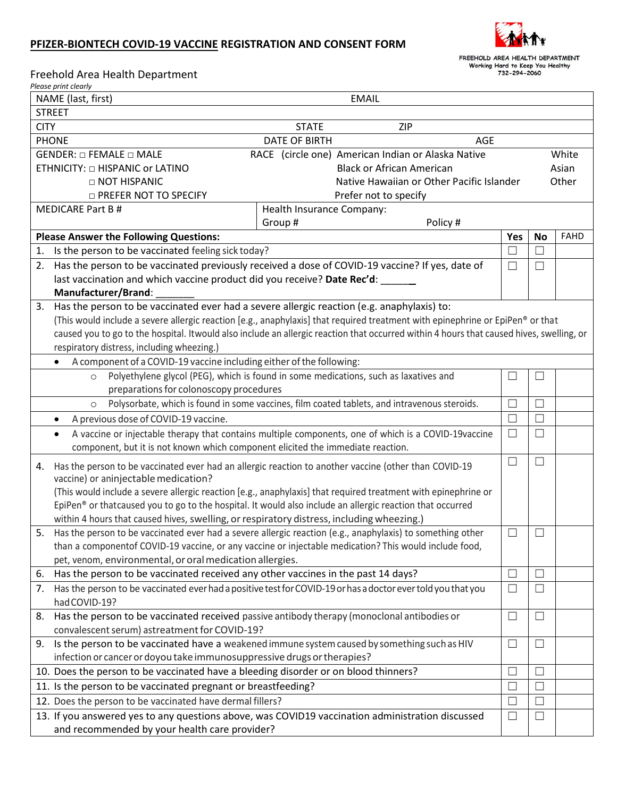## **PFIZER-BIONTECH COVID-19 VACCINE REGISTRATION AND CONSENT FORM**



FREEHOLD AREA HEALTH DEPARTMENT<br>Working Hard to Keep You Healthy<br>732-294-2060

Freehold Area Health Department

*Please print clearly*

| NAME (last, first)<br><b>EMAIL</b>                                                                                                       |            |                          |             |  |  |
|------------------------------------------------------------------------------------------------------------------------------------------|------------|--------------------------|-------------|--|--|
| <b>STREET</b>                                                                                                                            |            |                          |             |  |  |
| <b>CITY</b><br><b>STATE</b><br><b>ZIP</b>                                                                                                |            |                          |             |  |  |
| <b>PHONE</b><br><b>DATE OF BIRTH</b>                                                                                                     | <b>AGE</b> |                          |             |  |  |
| GENDER: $\Box$ FEMALE $\Box$ MALE<br>RACE (circle one) American Indian or Alaska Native<br>White                                         |            |                          |             |  |  |
| ETHNICITY: O HISPANIC or LATINO<br><b>Black or African American</b>                                                                      |            | Asian                    |             |  |  |
| □ NOT HISPANIC<br>Native Hawaiian or Other Pacific Islander<br>Other                                                                     |            |                          |             |  |  |
| <b>D PREFER NOT TO SPECIFY</b><br>Prefer not to specify                                                                                  |            |                          |             |  |  |
| <b>MEDICARE Part B#</b><br>Health Insurance Company:                                                                                     |            |                          |             |  |  |
| Policy #<br>Group #                                                                                                                      |            |                          |             |  |  |
| <b>Please Answer the Following Questions:</b>                                                                                            | Yes        | <b>No</b>                | <b>FAHD</b> |  |  |
| Is the person to be vaccinated feeling sick today?<br>1.                                                                                 |            | П                        |             |  |  |
| Has the person to be vaccinated previously received a dose of COVID-19 vaccine? If yes, date of<br>2.                                    |            |                          |             |  |  |
| last vaccination and which vaccine product did you receive? Date Rec'd:                                                                  |            |                          |             |  |  |
| Manufacturer/Brand:                                                                                                                      |            |                          |             |  |  |
| Has the person to be vaccinated ever had a severe allergic reaction (e.g. anaphylaxis) to:<br>3.                                         |            |                          |             |  |  |
| (This would include a severe allergic reaction [e.g., anaphylaxis] that required treatment with epinephrine or EpiPen® or that           |            |                          |             |  |  |
| caused you to go to the hospital. Itwould also include an allergic reaction that occurred within 4 hours that caused hives, swelling, or |            |                          |             |  |  |
| respiratory distress, including wheezing.)                                                                                               |            |                          |             |  |  |
| A component of a COVID-19 vaccine including either of the following:                                                                     |            |                          |             |  |  |
| Polyethylene glycol (PEG), which is found in some medications, such as laxatives and<br>$\circ$                                          | $\Box$     | $\overline{\phantom{a}}$ |             |  |  |
| preparations for colonoscopy procedures                                                                                                  |            |                          |             |  |  |
| Polysorbate, which is found in some vaccines, film coated tablets, and intravenous steroids.<br>$\Box$<br>$\circ$                        |            |                          |             |  |  |
| A previous dose of COVID-19 vaccine.<br>$\bullet$                                                                                        |            | $\Box$                   |             |  |  |
| A vaccine or injectable therapy that contains multiple components, one of which is a COVID-19 vaccine<br>$\bullet$                       |            | $\Box$                   |             |  |  |
| component, but it is not known which component elicited the immediate reaction.                                                          |            |                          |             |  |  |
| $\Box$<br>$\Box$<br>Has the person to be vaccinated ever had an allergic reaction to another vaccine (other than COVID-19<br>4.          |            |                          |             |  |  |
| vaccine) or aninjectable medication?                                                                                                     |            |                          |             |  |  |
| (This would include a severe allergic reaction [e.g., anaphylaxis] that required treatment with epinephrine or                           |            |                          |             |  |  |
| EpiPen® or thatcaused you to go to the hospital. It would also include an allergic reaction that occurred                                |            |                          |             |  |  |
| within 4 hours that caused hives, swelling, or respiratory distress, including wheezing.)                                                |            |                          |             |  |  |
| Has the person to be vaccinated ever had a severe allergic reaction (e.g., anaphylaxis) to something other<br>5.<br>$\Box$               |            |                          |             |  |  |
| than a componentof COVID-19 vaccine, or any vaccine or injectable medication? This would include food,                                   |            |                          |             |  |  |
| pet, venom, environmental, or oral medication allergies.                                                                                 |            |                          |             |  |  |
| Has the person to be vaccinated received any other vaccines in the past 14 days?<br>6.                                                   | $\Box$     | П                        |             |  |  |
| Has the person to be vaccinated ever had a positive test for COVID-19 or has a doctor ever told you that you<br>7.                       | $\Box$     | $\Box$                   |             |  |  |
| had COVID-19?                                                                                                                            |            |                          |             |  |  |
| Has the person to be vaccinated received passive antibody therapy (monoclonal antibodies or<br>8.                                        | $\Box$     | $\Box$                   |             |  |  |
| convalescent serum) astreatment for COVID-19?                                                                                            |            |                          |             |  |  |
| 9. Is the person to be vaccinated have a weakened immune system caused by something such as HIV                                          |            | $\Box$                   |             |  |  |
| infection or cancer or doyou take immunosuppressive drugs or therapies?                                                                  |            |                          |             |  |  |
| 10. Does the person to be vaccinated have a bleeding disorder or on blood thinners?<br>□                                                 |            | n.                       |             |  |  |
| 11. Is the person to be vaccinated pregnant or breastfeeding?<br>$\Box$<br>$\Box$                                                        |            |                          |             |  |  |
| 12. Does the person to be vaccinated have dermal fillers?                                                                                | □          |                          |             |  |  |
| 13. If you answered yes to any questions above, was COVID19 vaccination administration discussed                                         | $\Box$     | $\Box$                   |             |  |  |
| and recommended by your health care provider?                                                                                            |            |                          |             |  |  |